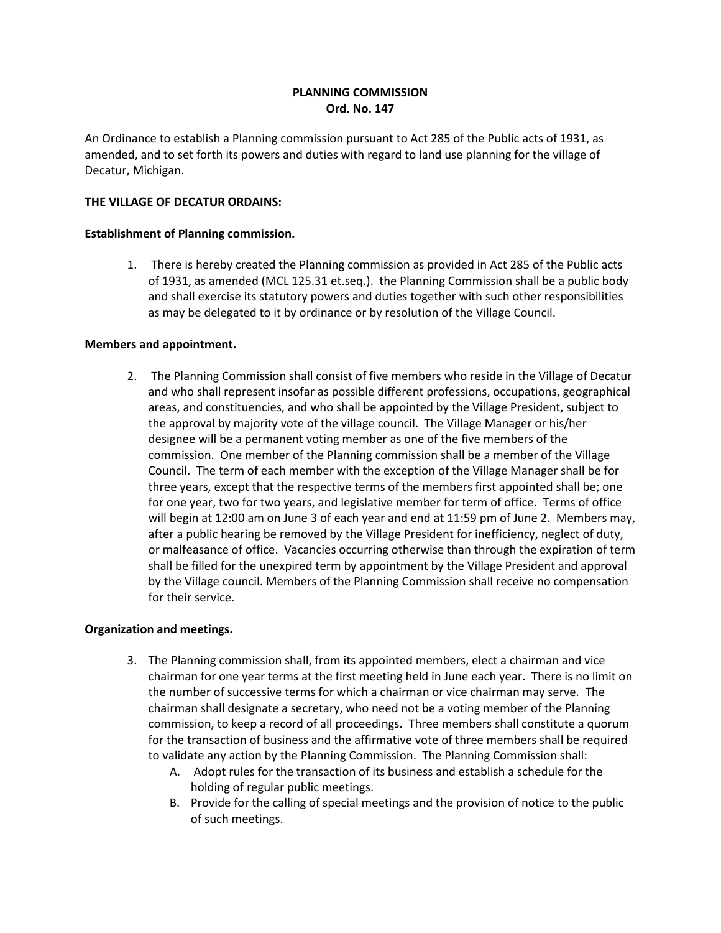# **PLANNING COMMISSION Ord. No. 147**

An Ordinance to establish a Planning commission pursuant to Act 285 of the Public acts of 1931, as amended, and to set forth its powers and duties with regard to land use planning for the village of Decatur, Michigan.

### **THE VILLAGE OF DECATUR ORDAINS:**

#### **Establishment of Planning commission.**

1. There is hereby created the Planning commission as provided in Act 285 of the Public acts of 1931, as amended (MCL 125.31 et.seq.). the Planning Commission shall be a public body and shall exercise its statutory powers and duties together with such other responsibilities as may be delegated to it by ordinance or by resolution of the Village Council.

### **Members and appointment.**

2. The Planning Commission shall consist of five members who reside in the Village of Decatur and who shall represent insofar as possible different professions, occupations, geographical areas, and constituencies, and who shall be appointed by the Village President, subject to the approval by majority vote of the village council. The Village Manager or his/her designee will be a permanent voting member as one of the five members of the commission. One member of the Planning commission shall be a member of the Village Council. The term of each member with the exception of the Village Manager shall be for three years, except that the respective terms of the members first appointed shall be; one for one year, two for two years, and legislative member for term of office. Terms of office will begin at 12:00 am on June 3 of each year and end at 11:59 pm of June 2. Members may, after a public hearing be removed by the Village President for inefficiency, neglect of duty, or malfeasance of office. Vacancies occurring otherwise than through the expiration of term shall be filled for the unexpired term by appointment by the Village President and approval by the Village council. Members of the Planning Commission shall receive no compensation for their service.

## **Organization and meetings.**

- 3. The Planning commission shall, from its appointed members, elect a chairman and vice chairman for one year terms at the first meeting held in June each year. There is no limit on the number of successive terms for which a chairman or vice chairman may serve. The chairman shall designate a secretary, who need not be a voting member of the Planning commission, to keep a record of all proceedings. Three members shall constitute a quorum for the transaction of business and the affirmative vote of three members shall be required to validate any action by the Planning Commission. The Planning Commission shall:
	- A. Adopt rules for the transaction of its business and establish a schedule for the holding of regular public meetings.
	- B. Provide for the calling of special meetings and the provision of notice to the public of such meetings.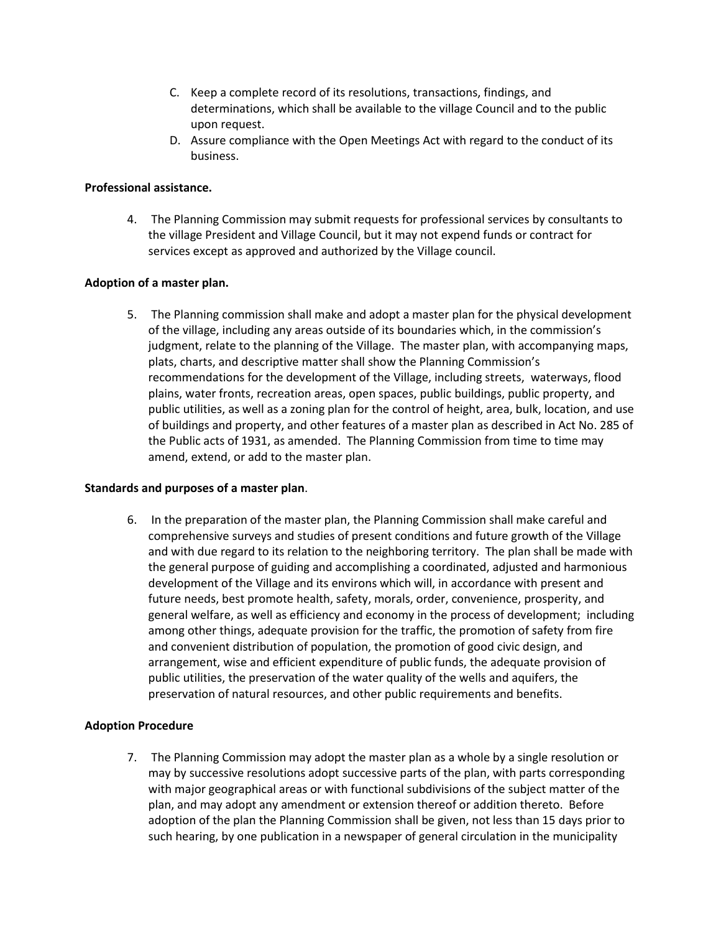- C. Keep a complete record of its resolutions, transactions, findings, and determinations, which shall be available to the village Council and to the public upon request.
- D. Assure compliance with the Open Meetings Act with regard to the conduct of its business.

## **Professional assistance.**

4. The Planning Commission may submit requests for professional services by consultants to the village President and Village Council, but it may not expend funds or contract for services except as approved and authorized by the Village council.

### **Adoption of a master plan.**

5. The Planning commission shall make and adopt a master plan for the physical development of the village, including any areas outside of its boundaries which, in the commission's judgment, relate to the planning of the Village. The master plan, with accompanying maps, plats, charts, and descriptive matter shall show the Planning Commission's recommendations for the development of the Village, including streets, waterways, flood plains, water fronts, recreation areas, open spaces, public buildings, public property, and public utilities, as well as a zoning plan for the control of height, area, bulk, location, and use of buildings and property, and other features of a master plan as described in Act No. 285 of the Public acts of 1931, as amended. The Planning Commission from time to time may amend, extend, or add to the master plan.

#### **Standards and purposes of a master plan**.

6. In the preparation of the master plan, the Planning Commission shall make careful and comprehensive surveys and studies of present conditions and future growth of the Village and with due regard to its relation to the neighboring territory. The plan shall be made with the general purpose of guiding and accomplishing a coordinated, adjusted and harmonious development of the Village and its environs which will, in accordance with present and future needs, best promote health, safety, morals, order, convenience, prosperity, and general welfare, as well as efficiency and economy in the process of development; including among other things, adequate provision for the traffic, the promotion of safety from fire and convenient distribution of population, the promotion of good civic design, and arrangement, wise and efficient expenditure of public funds, the adequate provision of public utilities, the preservation of the water quality of the wells and aquifers, the preservation of natural resources, and other public requirements and benefits.

## **Adoption Procedure**

7. The Planning Commission may adopt the master plan as a whole by a single resolution or may by successive resolutions adopt successive parts of the plan, with parts corresponding with major geographical areas or with functional subdivisions of the subject matter of the plan, and may adopt any amendment or extension thereof or addition thereto. Before adoption of the plan the Planning Commission shall be given, not less than 15 days prior to such hearing, by one publication in a newspaper of general circulation in the municipality